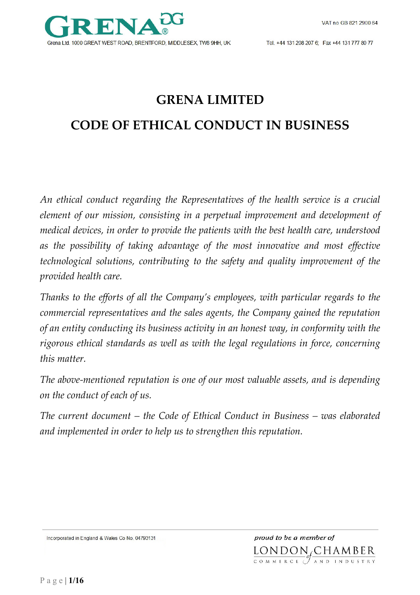# **GRENA LIMITED**

## **CODE OF ETHICAL CONDUCT IN BUSINESS**

*An ethical conduct regarding the Representatives of the health service is a crucial element of our mission, consisting in a perpetual improvement and development of medical devices, in order to provide the patients with the best health care, understood as the possibility of taking advantage of the most innovative and most effective technological solutions, contributing to the safety and quality improvement of the provided health care.* 

*Thanks to the efforts of all the Company's employees, with particular regards to the commercial representatives and the sales agents, the Company gained the reputation of an entity conducting its business activity in an honest way, in conformity with the rigorous ethical standards as well as with the legal regulations in force, concerning this matter.* 

*The above-mentioned reputation is one of our most valuable assets, and is depending on the conduct of each of us.* 

*The current document – the Code of Ethical Conduct in Business – was elaborated and implemented in order to help us to strengthen this reputation.*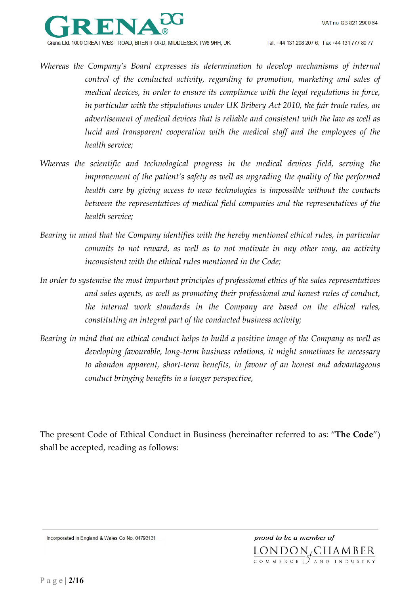

- *Whereas the Company's Board expresses its determination to develop mechanisms of internal control of the conducted activity, regarding to promotion, marketing and sales of medical devices, in order to ensure its compliance with the legal regulations in force, in particular with the stipulations under UK Bribery Act 2010, the fair trade rules, an advertisement of medical devices that is reliable and consistent with the law as well as lucid and transparent cooperation with the medical staff and the employees of the health service;*
- *Whereas the scientific and technological progress in the medical devices field, serving the improvement of the patient's safety as well as upgrading the quality of the performed health care by giving access to new technologies is impossible without the contacts between the representatives of medical field companies and the representatives of the health service;*
- *Bearing in mind that the Company identifies with the hereby mentioned ethical rules, in particular commits to not reward, as well as to not motivate in any other way, an activity inconsistent with the ethical rules mentioned in the Code;*
- *In order to systemise the most important principles of professional ethics of the sales representatives and sales agents, as well as promoting their professional and honest rules of conduct, the internal work standards in the Company are based on the ethical rules, constituting an integral part of the conducted business activity;*
- *Bearing in mind that an ethical conduct helps to build a positive image of the Company as well as developing favourable, long-term business relations, it might sometimes be necessary to abandon apparent, short-term benefits, in favour of an honest and advantageous conduct bringing benefits in a longer perspective,*

The present Code of Ethical Conduct in Business (hereinafter referred to as: "**The Code**") shall be accepted, reading as follows:

Incorporated in England & Wales Co No. 04793131

proud to be a member of LONDON<sub>S</sub>CHAMBER COMMERCE (TAND INDUSTRY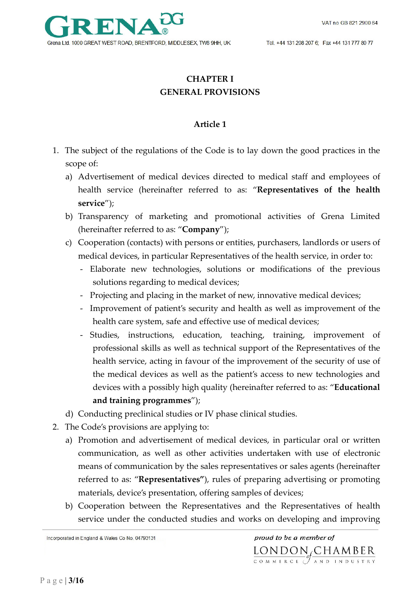

## **CHAPTER I GENERAL PROVISIONS**

#### **Article 1**

- 1. The subject of the regulations of the Code is to lay down the good practices in the scope of:
	- a) Advertisement of medical devices directed to medical staff and employees of health service (hereinafter referred to as: "**Representatives of the health service**");
	- b) Transparency of marketing and promotional activities of Grena Limited (hereinafter referred to as: "**Company**");
	- c) Cooperation (contacts) with persons or entities, purchasers, landlords or users of medical devices, in particular Representatives of the health service, in order to:
		- Elaborate new technologies, solutions or modifications of the previous solutions regarding to medical devices;
		- Projecting and placing in the market of new, innovative medical devices;
		- Improvement of patient's security and health as well as improvement of the health care system, safe and effective use of medical devices;
		- Studies, instructions, education, teaching, training, improvement of professional skills as well as technical support of the Representatives of the health service, acting in favour of the improvement of the security of use of the medical devices as well as the patient's access to new technologies and devices with a possibly high quality (hereinafter referred to as: "**Educational and training programmes**");
	- d) Conducting preclinical studies or IV phase clinical studies.
- 2. The Code's provisions are applying to:
	- a) Promotion and advertisement of medical devices, in particular oral or written communication, as well as other activities undertaken with use of electronic means of communication by the sales representatives or sales agents (hereinafter referred to as: "**Representatives"**), rules of preparing advertising or promoting materials, device's presentation, offering samples of devices;
	- b) Cooperation between the Representatives and the Representatives of health service under the conducted studies and works on developing and improving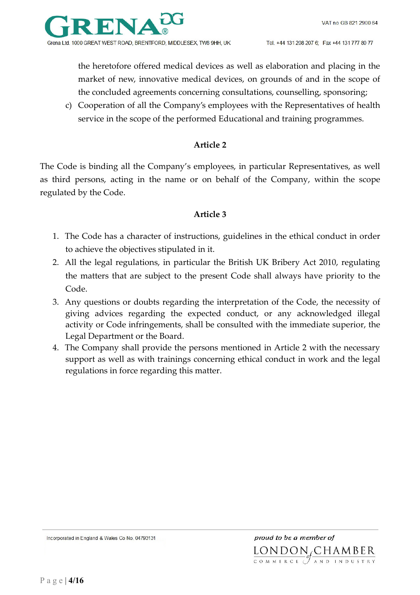

the heretofore offered medical devices as well as elaboration and placing in the market of new, innovative medical devices, on grounds of and in the scope of the concluded agreements concerning consultations, counselling, sponsoring;

c) Cooperation of all the Company's employees with the Representatives of health service in the scope of the performed Educational and training programmes.

#### **Article 2**

The Code is binding all the Company's employees, in particular Representatives, as well as third persons, acting in the name or on behalf of the Company, within the scope regulated by the Code.

#### **Article 3**

- 1. The Code has a character of instructions, guidelines in the ethical conduct in order to achieve the objectives stipulated in it.
- 2. All the legal regulations, in particular the British UK Bribery Act 2010, regulating the matters that are subject to the present Code shall always have priority to the Code.
- 3. Any questions or doubts regarding the interpretation of the Code, the necessity of giving advices regarding the expected conduct, or any acknowledged illegal activity or Code infringements, shall be consulted with the immediate superior, the Legal Department or the Board.
- 4. The Company shall provide the persons mentioned in Article 2 with the necessary support as well as with trainings concerning ethical conduct in work and the legal regulations in force regarding this matter.

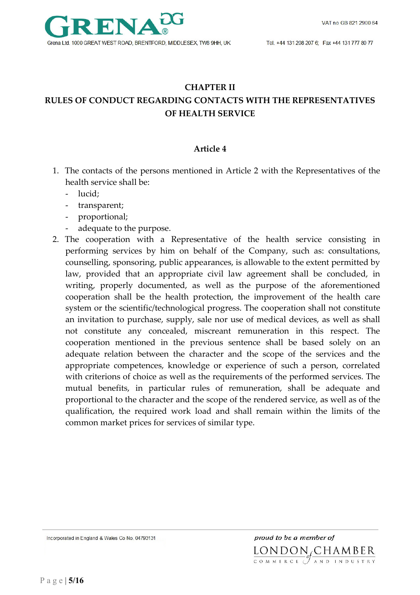#### **CHAPTER II**

## **RULES OF CONDUCT REGARDING CONTACTS WITH THE REPRESENTATIVES OF HEALTH SERVICE**

#### **Article 4**

- 1. The contacts of the persons mentioned in Article 2 with the Representatives of the health service shall be:
	- lucid;
	- transparent;
	- proportional;
	- adequate to the purpose.
- 2. The cooperation with a Representative of the health service consisting in performing services by him on behalf of the Company, such as: consultations, counselling, sponsoring, public appearances, is allowable to the extent permitted by law, provided that an appropriate civil law agreement shall be concluded, in writing, properly documented, as well as the purpose of the aforementioned cooperation shall be the health protection, the improvement of the health care system or the scientific/technological progress. The cooperation shall not constitute an invitation to purchase, supply, sale nor use of medical devices, as well as shall not constitute any concealed, miscreant remuneration in this respect. The cooperation mentioned in the previous sentence shall be based solely on an adequate relation between the character and the scope of the services and the appropriate competences, knowledge or experience of such a person, correlated with criterions of choice as well as the requirements of the performed services. The mutual benefits, in particular rules of remuneration, shall be adequate and proportional to the character and the scope of the rendered service, as well as of the qualification, the required work load and shall remain within the limits of the common market prices for services of similar type.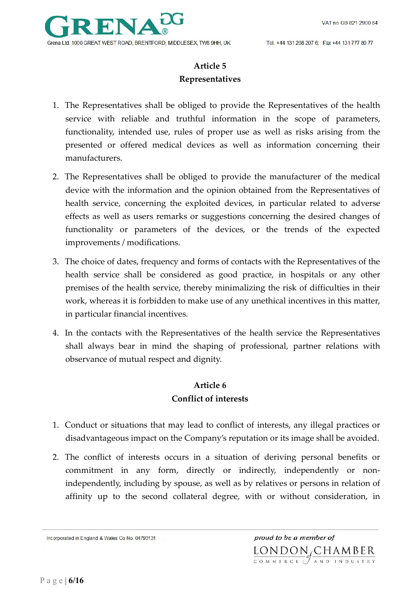

## **Article 5 Representatives**

- 1. The Representatives shall be obliged to provide the Representatives of the health service with reliable and truthful information in the scope of parameters, functionality, intended use, rules of proper use as well as risks arising from the presented or offered medical devices as well as information concerning their manufacturers.
- 2. The Representatives shall be obliged to provide the manufacturer of the medical device with the information and the opinion obtained from the Representatives of health service, concerning the exploited devices, in particular related to adverse effects as well as users remarks or suggestions concerning the desired changes of functionality or parameters of the devices, or the trends of the expected improvements / modifications.
- 3. The choice of dates, frequency and forms of contacts with the Representatives of the health service shall be considered as good practice, in hospitals or any other premises of the health service, thereby minimalizing the risk of difficulties in their work, whereas it is forbidden to make use of any unethical incentives in this matter, in particular financial incentives.
- 4. In the contacts with the Representatives of the health service the Representatives shall always bear in mind the shaping of professional, partner relations with observance of mutual respect and dignity.

## **Article 6 Conflict of interests**

- 1. Conduct or situations that may lead to conflict of interests, any illegal practices or disadvantageous impact on the Company's reputation or its image shall be avoided.
- 2. The conflict of interests occurs in a situation of deriving personal benefits or commitment in any form, directly or indirectly, independently or nonindependently, including by spouse, as well as by relatives or persons in relation of affinity up to the second collateral degree, with or without consideration, in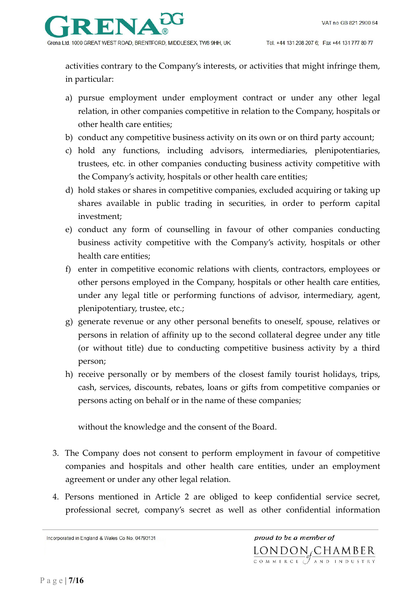

activities contrary to the Company's interests, or activities that might infringe them, in particular:

- a) pursue employment under employment contract or under any other legal relation, in other companies competitive in relation to the Company, hospitals or other health care entities;
- b) conduct any competitive business activity on its own or on third party account;
- c) hold any functions, including advisors, intermediaries, plenipotentiaries, trustees, etc. in other companies conducting business activity competitive with the Company's activity, hospitals or other health care entities;
- d) hold stakes or shares in competitive companies, excluded acquiring or taking up shares available in public trading in securities, in order to perform capital investment;
- e) conduct any form of counselling in favour of other companies conducting business activity competitive with the Company's activity, hospitals or other health care entities;
- f) enter in competitive economic relations with clients, contractors, employees or other persons employed in the Company, hospitals or other health care entities, under any legal title or performing functions of advisor, intermediary, agent, plenipotentiary, trustee, etc.;
- g) generate revenue or any other personal benefits to oneself, spouse, relatives or persons in relation of affinity up to the second collateral degree under any title (or without title) due to conducting competitive business activity by a third person;
- h) receive personally or by members of the closest family tourist holidays, trips, cash, services, discounts, rebates, loans or gifts from competitive companies or persons acting on behalf or in the name of these companies;

without the knowledge and the consent of the Board.

- 3. The Company does not consent to perform employment in favour of competitive companies and hospitals and other health care entities, under an employment agreement or under any other legal relation.
- 4. Persons mentioned in Article 2 are obliged to keep confidential service secret, professional secret, company's secret as well as other confidential information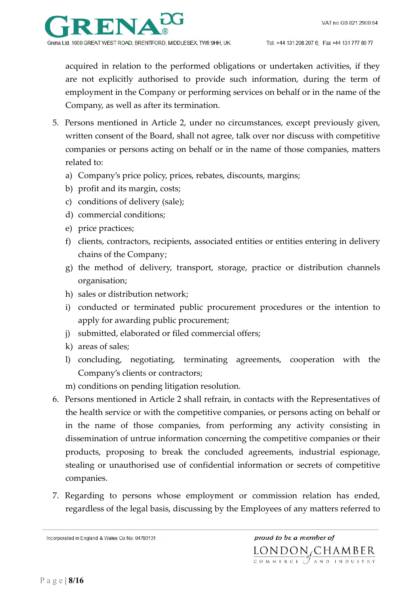

acquired in relation to the performed obligations or undertaken activities, if they are not explicitly authorised to provide such information, during the term of employment in the Company or performing services on behalf or in the name of the Company, as well as after its termination.

- 5. Persons mentioned in Article 2, under no circumstances, except previously given, written consent of the Board, shall not agree, talk over nor discuss with competitive companies or persons acting on behalf or in the name of those companies, matters related to:
	- a) Company's price policy, prices, rebates, discounts, margins;
	- b) profit and its margin, costs;
	- c) conditions of delivery (sale);
	- d) commercial conditions;
	- e) price practices;
	- f) clients, contractors, recipients, associated entities or entities entering in delivery chains of the Company;
	- g) the method of delivery, transport, storage, practice or distribution channels organisation;
	- h) sales or distribution network;
	- i) conducted or terminated public procurement procedures or the intention to apply for awarding public procurement;
	- j) submitted, elaborated or filed commercial offers;
	- k) areas of sales;
	- l) concluding, negotiating, terminating agreements, cooperation with the Company's clients or contractors;
	- m) conditions on pending litigation resolution.
- 6. Persons mentioned in Article 2 shall refrain, in contacts with the Representatives of the health service or with the competitive companies, or persons acting on behalf or in the name of those companies, from performing any activity consisting in dissemination of untrue information concerning the competitive companies or their products, proposing to break the concluded agreements, industrial espionage, stealing or unauthorised use of confidential information or secrets of competitive companies.
- 7. Regarding to persons whose employment or commission relation has ended, regardless of the legal basis, discussing by the Employees of any matters referred to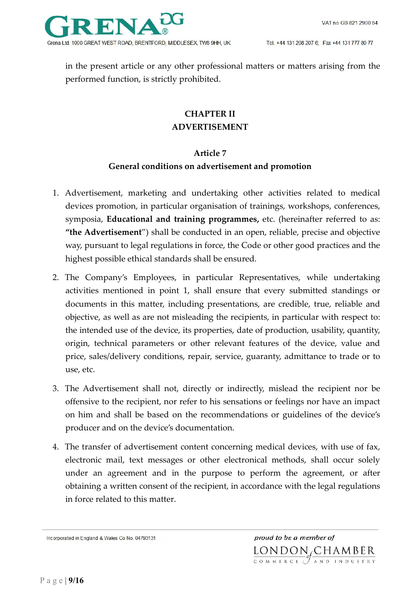in the present article or any other professional matters or matters arising from the performed function, is strictly prohibited.

## **CHAPTER II ADVERTISEMENT**

#### **Article 7**

### **General conditions on advertisement and promotion**

- 1. Advertisement, marketing and undertaking other activities related to medical devices promotion, in particular organisation of trainings, workshops, conferences, symposia, **Educational and training programmes,** etc. (hereinafter referred to as: **"the Advertisement**") shall be conducted in an open, reliable, precise and objective way, pursuant to legal regulations in force, the Code or other good practices and the highest possible ethical standards shall be ensured.
- 2. The Company's Employees, in particular Representatives, while undertaking activities mentioned in point 1, shall ensure that every submitted standings or documents in this matter, including presentations, are credible, true, reliable and objective, as well as are not misleading the recipients, in particular with respect to: the intended use of the device, its properties, date of production, usability, quantity, origin, technical parameters or other relevant features of the device, value and price, sales/delivery conditions, repair, service, guaranty, admittance to trade or to use, etc.
- 3. The Advertisement shall not, directly or indirectly, mislead the recipient nor be offensive to the recipient, nor refer to his sensations or feelings nor have an impact on him and shall be based on the recommendations or guidelines of the device's producer and on the device's documentation.
- 4. The transfer of advertisement content concerning medical devices, with use of fax, electronic mail, text messages or other electronical methods, shall occur solely under an agreement and in the purpose to perform the agreement, or after obtaining a written consent of the recipient, in accordance with the legal regulations in force related to this matter.

Incorporated in England & Wales Co No. 04793131

proud to be a member of LONDON CHAMBER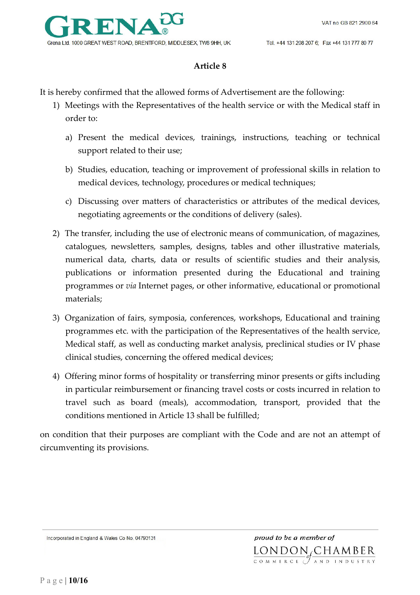#### **Article 8**

It is hereby confirmed that the allowed forms of Advertisement are the following:

- 1) Meetings with the Representatives of the health service or with the Medical staff in order to:
	- a) Present the medical devices, trainings, instructions, teaching or technical support related to their use;
	- b) Studies, education, teaching or improvement of professional skills in relation to medical devices, technology, procedures or medical techniques;
	- c) Discussing over matters of characteristics or attributes of the medical devices, negotiating agreements or the conditions of delivery (sales).
- 2) The transfer, including the use of electronic means of communication, of magazines, catalogues, newsletters, samples, designs, tables and other illustrative materials, numerical data, charts, data or results of scientific studies and their analysis, publications or information presented during the Educational and training programmes or *via* Internet pages, or other informative, educational or promotional materials;
- 3) Organization of fairs, symposia, conferences, workshops, Educational and training programmes etc. with the participation of the Representatives of the health service, Medical staff, as well as conducting market analysis, preclinical studies or IV phase clinical studies, concerning the offered medical devices;
- 4) Offering minor forms of hospitality or transferring minor presents or gifts including in particular reimbursement or financing travel costs or costs incurred in relation to travel such as board (meals), accommodation, transport, provided that the conditions mentioned in Article 13 shall be fulfilled;

on condition that their purposes are compliant with the Code and are not an attempt of circumventing its provisions.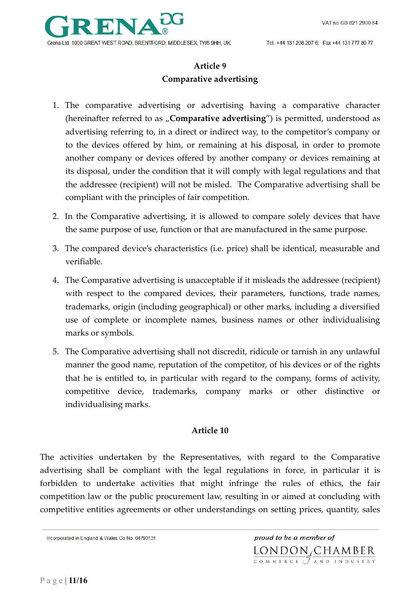

## **Article 9 Comparative advertising**

- 1. The comparative advertising or advertising having a comparative character (hereinafter referred to as "Comparative advertising") is permitted, understood as advertising referring to, in a direct or indirect way, to the competitor's company or to the devices offered by him, or remaining at his disposal, in order to promote another company or devices offered by another company or devices remaining at its disposal, under the condition that it will comply with legal regulations and that the addressee (recipient) will not be misled. The Comparative advertising shall be compliant with the principles of fair competition.
- 2. In the Comparative advertising, it is allowed to compare solely devices that have the same purpose of use, function or that are manufactured in the same purpose.
- 3. The compared device's characteristics (i.e. price) shall be identical, measurable and verifiable.
- 4. The Comparative advertising is unacceptable if it misleads the addressee (recipient) with respect to the compared devices, their parameters, functions, trade names, trademarks, origin (including geographical) or other marks, including a diversified use of complete or incomplete names, business names or other individualising marks or symbols.
- 5. The Comparative advertising shall not discredit, ridicule or tarnish in any unlawful manner the good name, reputation of the competitor, of his devices or of the rights that he is entitled to, in particular with regard to the company, forms of activity, competitive device, trademarks, company marks or other distinctive or individualising marks.

#### **Article 10**

The activities undertaken by the Representatives, with regard to the Comparative advertising shall be compliant with the legal regulations in force, in particular it is forbidden to undertake activities that might infringe the rules of ethics, the fair competition law or the public procurement law, resulting in or aimed at concluding with competitive entities agreements or other understandings on setting prices, quantity, sales

Incorporated in England & Wales Co No. 04793131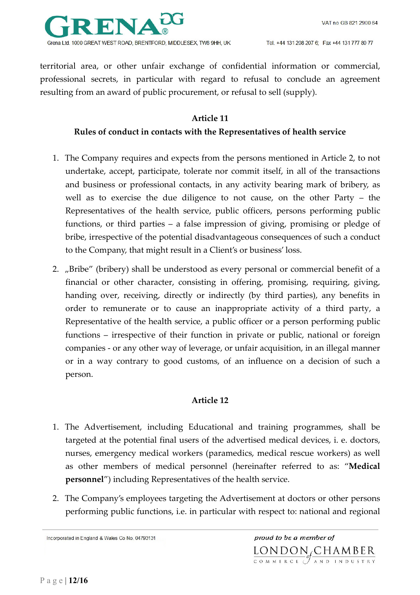

territorial area, or other unfair exchange of confidential information or commercial, professional secrets, in particular with regard to refusal to conclude an agreement resulting from an award of public procurement, or refusal to sell (supply).

#### **Article 11**

#### **Rules of conduct in contacts with the Representatives of health service**

- 1. The Company requires and expects from the persons mentioned in Article 2, to not undertake, accept, participate, tolerate nor commit itself, in all of the transactions and business or professional contacts, in any activity bearing mark of bribery, as well as to exercise the due diligence to not cause, on the other Party – the Representatives of the health service, public officers, persons performing public functions, or third parties – a false impression of giving, promising or pledge of bribe, irrespective of the potential disadvantageous consequences of such a conduct to the Company, that might result in a Client's or business' loss.
- 2. "Bribe" (bribery) shall be understood as every personal or commercial benefit of a financial or other character, consisting in offering, promising, requiring, giving, handing over, receiving, directly or indirectly (by third parties), any benefits in order to remunerate or to cause an inappropriate activity of a third party, a Representative of the health service, a public officer or a person performing public functions – irrespective of their function in private or public, national or foreign companies - or any other way of leverage, or unfair acquisition, in an illegal manner or in a way contrary to good customs, of an influence on a decision of such a person.

#### **Article 12**

- 1. The Advertisement, including Educational and training programmes, shall be targeted at the potential final users of the advertised medical devices, i. e. doctors, nurses, emergency medical workers (paramedics, medical rescue workers) as well as other members of medical personnel (hereinafter referred to as: "**Medical personnel**") including Representatives of the health service.
- 2. The Company's employees targeting the Advertisement at doctors or other persons performing public functions, i.e. in particular with respect to: national and regional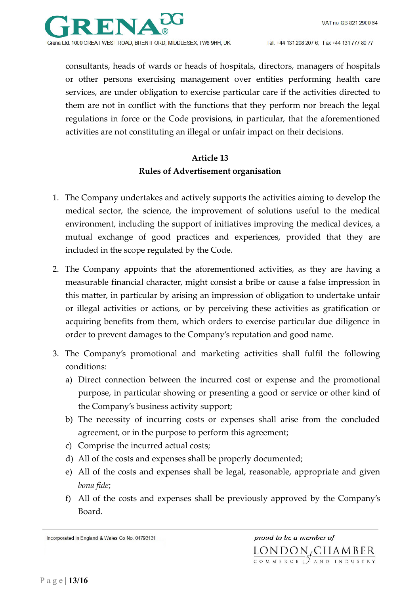

consultants, heads of wards or heads of hospitals, directors, managers of hospitals or other persons exercising management over entities performing health care services, are under obligation to exercise particular care if the activities directed to them are not in conflict with the functions that they perform nor breach the legal regulations in force or the Code provisions, in particular, that the aforementioned activities are not constituting an illegal or unfair impact on their decisions.

## **Article 13 Rules of Advertisement organisation**

- 1. The Company undertakes and actively supports the activities aiming to develop the medical sector, the science, the improvement of solutions useful to the medical environment, including the support of initiatives improving the medical devices, a mutual exchange of good practices and experiences, provided that they are included in the scope regulated by the Code.
- 2. The Company appoints that the aforementioned activities, as they are having a measurable financial character, might consist a bribe or cause a false impression in this matter, in particular by arising an impression of obligation to undertake unfair or illegal activities or actions, or by perceiving these activities as gratification or acquiring benefits from them, which orders to exercise particular due diligence in order to prevent damages to the Company's reputation and good name.
- 3. The Company's promotional and marketing activities shall fulfil the following conditions:
	- a) Direct connection between the incurred cost or expense and the promotional purpose, in particular showing or presenting a good or service or other kind of the Company's business activity support;
	- b) The necessity of incurring costs or expenses shall arise from the concluded agreement, or in the purpose to perform this agreement;
	- c) Comprise the incurred actual costs;
	- d) All of the costs and expenses shall be properly documented;
	- e) All of the costs and expenses shall be legal, reasonable, appropriate and given *bona fide*;
	- f) All of the costs and expenses shall be previously approved by the Company's Board.

Incorporated in England & Wales Co No. 04793131

proud to be a member of LONDON CHAMBER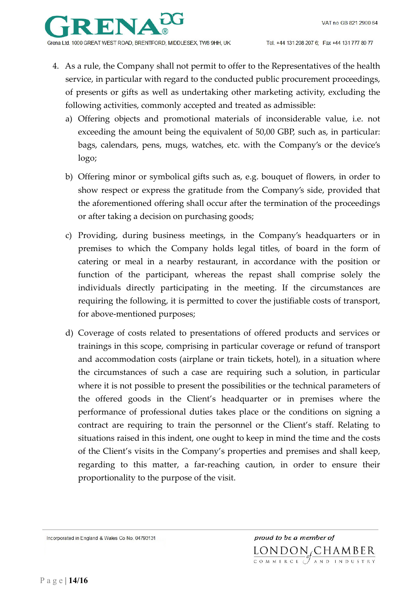

- 4. As a rule, the Company shall not permit to offer to the Representatives of the health service, in particular with regard to the conducted public procurement proceedings, of presents or gifts as well as undertaking other marketing activity, excluding the following activities, commonly accepted and treated as admissible:
	- a) Offering objects and promotional materials of inconsiderable value, i.e. not exceeding the amount being the equivalent of 50,00 GBP, such as, in particular: bags, calendars, pens, mugs, watches, etc. with the Company's or the device's logo;
	- b) Offering minor or symbolical gifts such as, e.g. bouquet of flowers, in order to show respect or express the gratitude from the Company's side, provided that the aforementioned offering shall occur after the termination of the proceedings or after taking a decision on purchasing goods;
	- c) Providing, during business meetings, in the Company's headquarters or in premises to which the Company holds legal titles, of board in the form of catering or meal in a nearby restaurant, in accordance with the position or function of the participant, whereas the repast shall comprise solely the individuals directly participating in the meeting. If the circumstances are requiring the following, it is permitted to cover the justifiable costs of transport, for above-mentioned purposes;
	- d) Coverage of costs related to presentations of offered products and services or trainings in this scope, comprising in particular coverage or refund of transport and accommodation costs (airplane or train tickets, hotel), in a situation where the circumstances of such a case are requiring such a solution, in particular where it is not possible to present the possibilities or the technical parameters of the offered goods in the Client's headquarter or in premises where the performance of professional duties takes place or the conditions on signing a contract are requiring to train the personnel or the Client's staff. Relating to situations raised in this indent, one ought to keep in mind the time and the costs of the Client's visits in the Company's properties and premises and shall keep, regarding to this matter, a far-reaching caution, in order to ensure their proportionality to the purpose of the visit.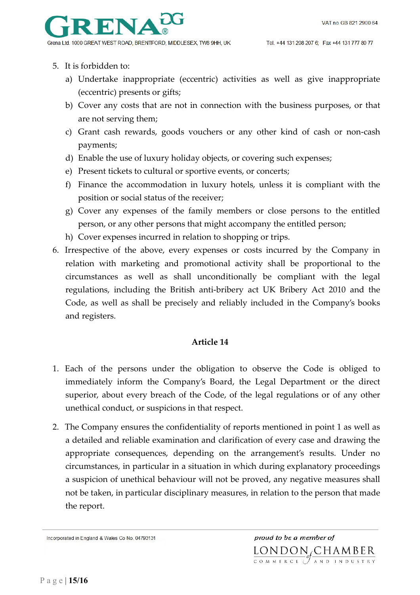

- 5. It is forbidden to:
	- a) Undertake inappropriate (eccentric) activities as well as give inappropriate (eccentric) presents or gifts;
	- b) Cover any costs that are not in connection with the business purposes, or that are not serving them;
	- c) Grant cash rewards, goods vouchers or any other kind of cash or non-cash payments;
	- d) Enable the use of luxury holiday objects, or covering such expenses;
	- e) Present tickets to cultural or sportive events, or concerts;
	- f) Finance the accommodation in luxury hotels, unless it is compliant with the position or social status of the receiver;
	- g) Cover any expenses of the family members or close persons to the entitled person, or any other persons that might accompany the entitled person;
	- h) Cover expenses incurred in relation to shopping or trips.
- 6. Irrespective of the above, every expenses or costs incurred by the Company in relation with marketing and promotional activity shall be proportional to the circumstances as well as shall unconditionally be compliant with the legal regulations, including the British anti-bribery act UK Bribery Act 2010 and the Code, as well as shall be precisely and reliably included in the Company's books and registers.

#### **Article 14**

- 1. Each of the persons under the obligation to observe the Code is obliged to immediately inform the Company's Board, the Legal Department or the direct superior, about every breach of the Code, of the legal regulations or of any other unethical conduct, or suspicions in that respect.
- 2. The Company ensures the confidentiality of reports mentioned in point 1 as well as a detailed and reliable examination and clarification of every case and drawing the appropriate consequences, depending on the arrangement's results. Under no circumstances, in particular in a situation in which during explanatory proceedings a suspicion of unethical behaviour will not be proved, any negative measures shall not be taken, in particular disciplinary measures, in relation to the person that made the report.